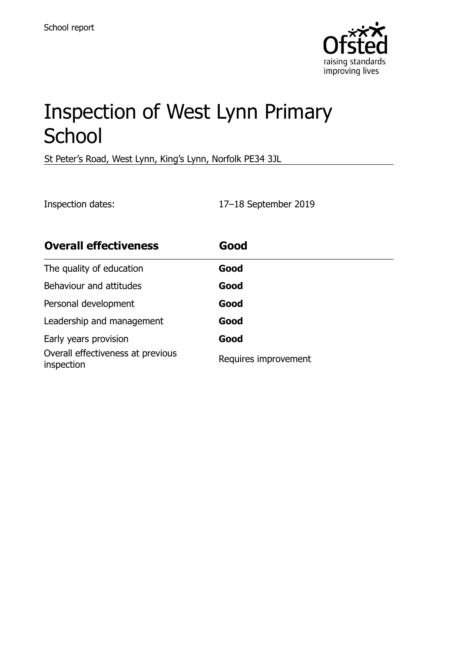

# Inspection of West Lynn Primary **School**

St Peter's Road, West Lynn, King's Lynn, Norfolk PE34 3JL

Inspection dates: 17–18 September 2019

| <b>Overall effectiveness</b>                    | Good                 |
|-------------------------------------------------|----------------------|
| The quality of education                        | Good                 |
| Behaviour and attitudes                         | Good                 |
| Personal development                            | Good                 |
| Leadership and management                       | Good                 |
| Early years provision                           | Good                 |
| Overall effectiveness at previous<br>inspection | Requires improvement |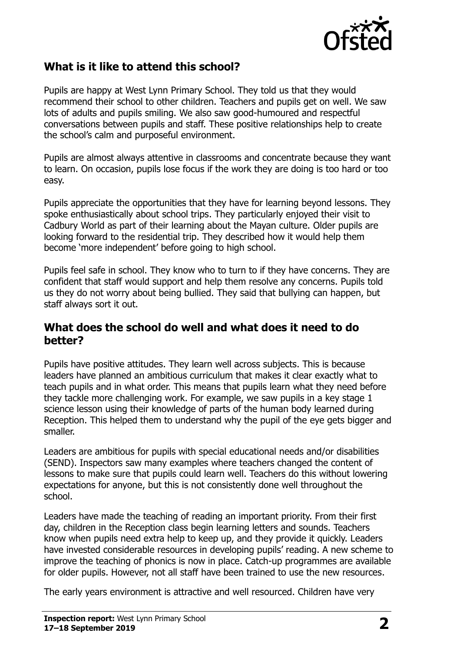

### **What is it like to attend this school?**

Pupils are happy at West Lynn Primary School. They told us that they would recommend their school to other children. Teachers and pupils get on well. We saw lots of adults and pupils smiling. We also saw good-humoured and respectful conversations between pupils and staff. These positive relationships help to create the school's calm and purposeful environment.

Pupils are almost always attentive in classrooms and concentrate because they want to learn. On occasion, pupils lose focus if the work they are doing is too hard or too easy.

Pupils appreciate the opportunities that they have for learning beyond lessons. They spoke enthusiastically about school trips. They particularly enjoyed their visit to Cadbury World as part of their learning about the Mayan culture. Older pupils are looking forward to the residential trip. They described how it would help them become 'more independent' before going to high school.

Pupils feel safe in school. They know who to turn to if they have concerns. They are confident that staff would support and help them resolve any concerns. Pupils told us they do not worry about being bullied. They said that bullying can happen, but staff always sort it out.

#### **What does the school do well and what does it need to do better?**

Pupils have positive attitudes. They learn well across subjects. This is because leaders have planned an ambitious curriculum that makes it clear exactly what to teach pupils and in what order. This means that pupils learn what they need before they tackle more challenging work. For example, we saw pupils in a key stage 1 science lesson using their knowledge of parts of the human body learned during Reception. This helped them to understand why the pupil of the eye gets bigger and smaller.

Leaders are ambitious for pupils with special educational needs and/or disabilities (SEND). Inspectors saw many examples where teachers changed the content of lessons to make sure that pupils could learn well. Teachers do this without lowering expectations for anyone, but this is not consistently done well throughout the school.

Leaders have made the teaching of reading an important priority. From their first day, children in the Reception class begin learning letters and sounds. Teachers know when pupils need extra help to keep up, and they provide it quickly. Leaders have invested considerable resources in developing pupils' reading. A new scheme to improve the teaching of phonics is now in place. Catch-up programmes are available for older pupils. However, not all staff have been trained to use the new resources.

The early years environment is attractive and well resourced. Children have very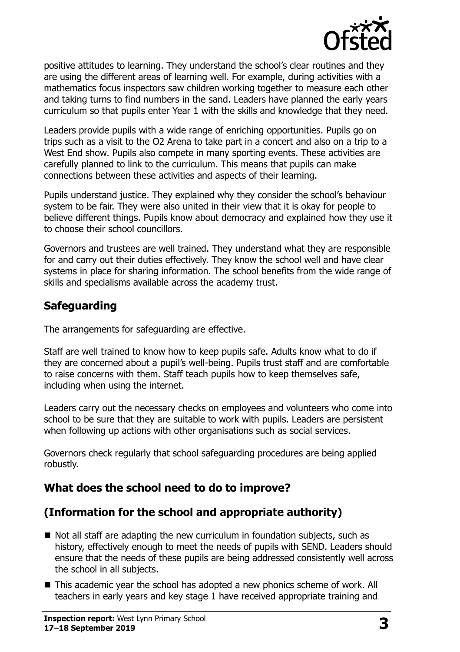

positive attitudes to learning. They understand the school's clear routines and they are using the different areas of learning well. For example, during activities with a mathematics focus inspectors saw children working together to measure each other and taking turns to find numbers in the sand. Leaders have planned the early years curriculum so that pupils enter Year 1 with the skills and knowledge that they need.

Leaders provide pupils with a wide range of enriching opportunities. Pupils go on trips such as a visit to the O2 Arena to take part in a concert and also on a trip to a West End show. Pupils also compete in many sporting events. These activities are carefully planned to link to the curriculum. This means that pupils can make connections between these activities and aspects of their learning.

Pupils understand justice. They explained why they consider the school's behaviour system to be fair. They were also united in their view that it is okay for people to believe different things. Pupils know about democracy and explained how they use it to choose their school councillors.

Governors and trustees are well trained. They understand what they are responsible for and carry out their duties effectively. They know the school well and have clear systems in place for sharing information. The school benefits from the wide range of skills and specialisms available across the academy trust.

### **Safeguarding**

The arrangements for safeguarding are effective.

Staff are well trained to know how to keep pupils safe. Adults know what to do if they are concerned about a pupil's well-being. Pupils trust staff and are comfortable to raise concerns with them. Staff teach pupils how to keep themselves safe, including when using the internet.

Leaders carry out the necessary checks on employees and volunteers who come into school to be sure that they are suitable to work with pupils. Leaders are persistent when following up actions with other organisations such as social services.

Governors check regularly that school safeguarding procedures are being applied robustly.

# **What does the school need to do to improve?**

# **(Information for the school and appropriate authority)**

- Not all staff are adapting the new curriculum in foundation subjects, such as history, effectively enough to meet the needs of pupils with SEND. Leaders should ensure that the needs of these pupils are being addressed consistently well across the school in all subjects.
- This academic year the school has adopted a new phonics scheme of work. All teachers in early years and key stage 1 have received appropriate training and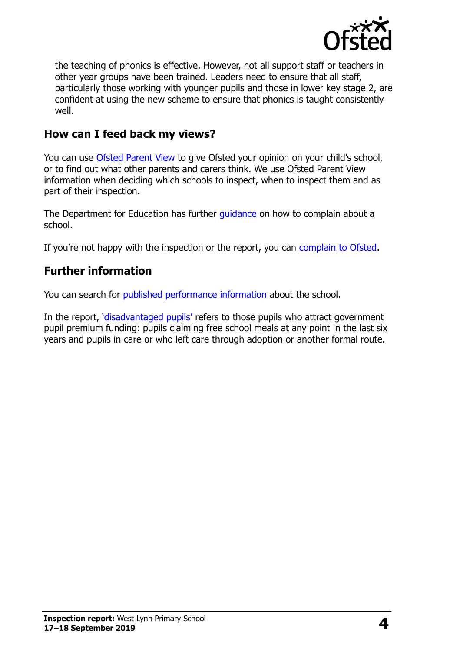

the teaching of phonics is effective. However, not all support staff or teachers in other year groups have been trained. Leaders need to ensure that all staff, particularly those working with younger pupils and those in lower key stage 2, are confident at using the new scheme to ensure that phonics is taught consistently well.

#### **How can I feed back my views?**

You can use [Ofsted Parent View](http://parentview.ofsted.gov.uk/) to give Ofsted your opinion on your child's school, or to find out what other parents and carers think. We use Ofsted Parent View information when deciding which schools to inspect, when to inspect them and as part of their inspection.

The Department for Education has further quidance on how to complain about a school.

If you're not happy with the inspection or the report, you can [complain to Ofsted.](http://www.gov.uk/complain-ofsted-report)

# **Further information**

You can search for [published performance information](http://www.compare-school-performance.service.gov.uk/) about the school.

In the report, '[disadvantaged pupils](http://www.gov.uk/guidance/pupil-premium-information-for-schools-and-alternative-provision-settings)' refers to those pupils who attract government pupil premium funding: pupils claiming free school meals at any point in the last six years and pupils in care or who left care through adoption or another formal route.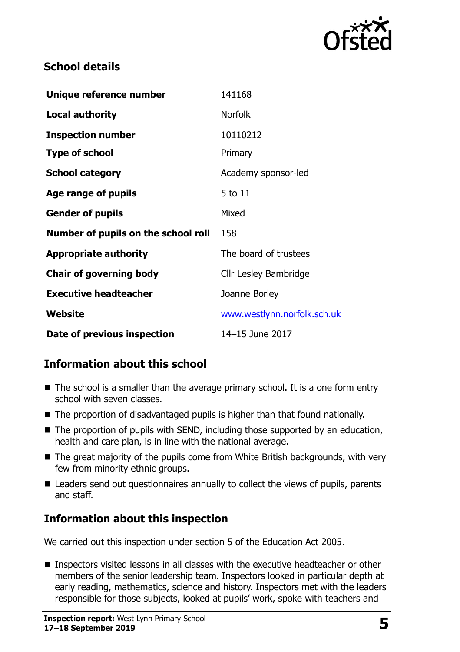

### **School details**

| Unique reference number             | 141168                      |
|-------------------------------------|-----------------------------|
| <b>Local authority</b>              | <b>Norfolk</b>              |
| <b>Inspection number</b>            | 10110212                    |
| <b>Type of school</b>               | Primary                     |
| <b>School category</b>              | Academy sponsor-led         |
| Age range of pupils                 | 5 to 11                     |
| <b>Gender of pupils</b>             | Mixed                       |
| Number of pupils on the school roll | 158                         |
| <b>Appropriate authority</b>        | The board of trustees       |
| <b>Chair of governing body</b>      | Cllr Lesley Bambridge       |
| <b>Executive headteacher</b>        | Joanne Borley               |
| Website                             | www.westlynn.norfolk.sch.uk |
| Date of previous inspection         | 14-15 June 2017             |

# **Information about this school**

- $\blacksquare$  The school is a smaller than the average primary school. It is a one form entry school with seven classes.
- The proportion of disadvantaged pupils is higher than that found nationally.
- The proportion of pupils with SEND, including those supported by an education, health and care plan, is in line with the national average.
- The great majority of the pupils come from White British backgrounds, with very few from minority ethnic groups.
- Leaders send out questionnaires annually to collect the views of pupils, parents and staff.

# **Information about this inspection**

We carried out this inspection under section 5 of the Education Act 2005.

■ Inspectors visited lessons in all classes with the executive headteacher or other members of the senior leadership team. Inspectors looked in particular depth at early reading, mathematics, science and history. Inspectors met with the leaders responsible for those subjects, looked at pupils' work, spoke with teachers and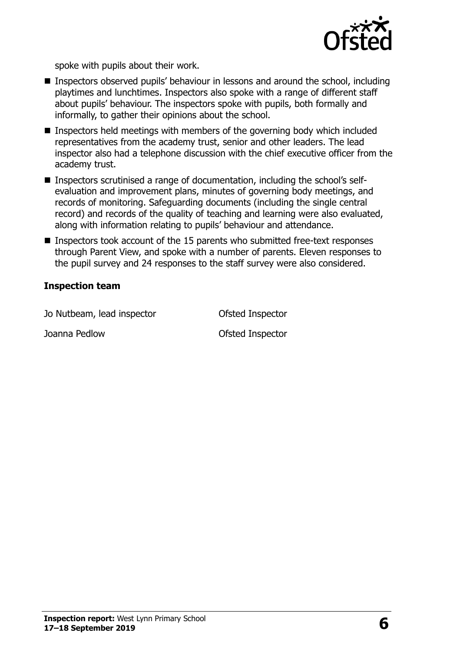

spoke with pupils about their work.

- Inspectors observed pupils' behaviour in lessons and around the school, including playtimes and lunchtimes. Inspectors also spoke with a range of different staff about pupils' behaviour. The inspectors spoke with pupils, both formally and informally, to gather their opinions about the school.
- Inspectors held meetings with members of the governing body which included representatives from the academy trust, senior and other leaders. The lead inspector also had a telephone discussion with the chief executive officer from the academy trust.
- Inspectors scrutinised a range of documentation, including the school's selfevaluation and improvement plans, minutes of governing body meetings, and records of monitoring. Safeguarding documents (including the single central record) and records of the quality of teaching and learning were also evaluated, along with information relating to pupils' behaviour and attendance.
- Inspectors took account of the 15 parents who submitted free-text responses through Parent View, and spoke with a number of parents. Eleven responses to the pupil survey and 24 responses to the staff survey were also considered.

#### **Inspection team**

Jo Nutbeam, lead inspector **Ofsted Inspector** 

Joanna Pedlow Ofsted Inspector